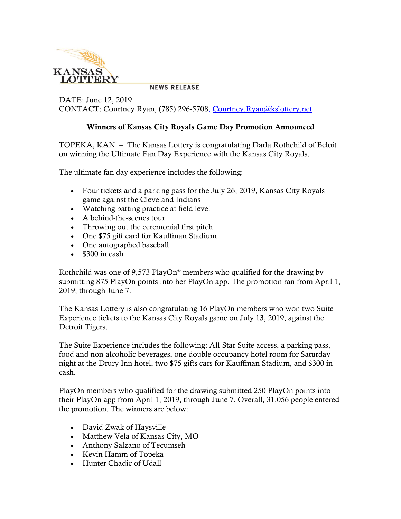

**NEWS RELEASE** 

DATE: June 12, 2019 CONTACT: Courtney Ryan, (785) 296-5708, [Courtney.Ryan@kslottery.net](mailto:Courtney.Ryan@kslottery.net)

## **Winners of Kansas City Royals Game Day Promotion Announced**

TOPEKA, KAN. – The Kansas Lottery is congratulating Darla Rothchild of Beloit on winning the Ultimate Fan Day Experience with the Kansas City Royals.

The ultimate fan day experience includes the following:

- Four tickets and a parking pass for the July 26, 2019, Kansas City Royals game against the Cleveland Indians
- Watching batting practice at field level
- A behind-the-scenes tour
- Throwing out the ceremonial first pitch
- One \$75 gift card for Kauffman Stadium
- One autographed baseball
- $\cdot$  \$300 in cash

Rothchild was one of 9,573 PlayOn<sup>®</sup> members who qualified for the drawing by submitting 875 PlayOn points into her PlayOn app. The promotion ran from April 1, 2019, through June 7.

The Kansas Lottery is also congratulating 16 PlayOn members who won two Suite Experience tickets to the Kansas City Royals game on July 13, 2019, against the Detroit Tigers.

The Suite Experience includes the following: All-Star Suite access, a parking pass, food and non-alcoholic beverages, one double occupancy hotel room for Saturday night at the Drury Inn hotel, two \$75 gifts cars for Kauffman Stadium, and \$300 in cash.

PlayOn members who qualified for the drawing submitted 250 PlayOn points into their PlayOn app from April 1, 2019, through June 7. Overall, 31,056 people entered the promotion. The winners are below:

- David Zwak of Haysville
- Matthew Vela of Kansas City, MO
- Anthony Salzano of Tecumseh
- Kevin Hamm of Topeka
- Hunter Chadic of Udall